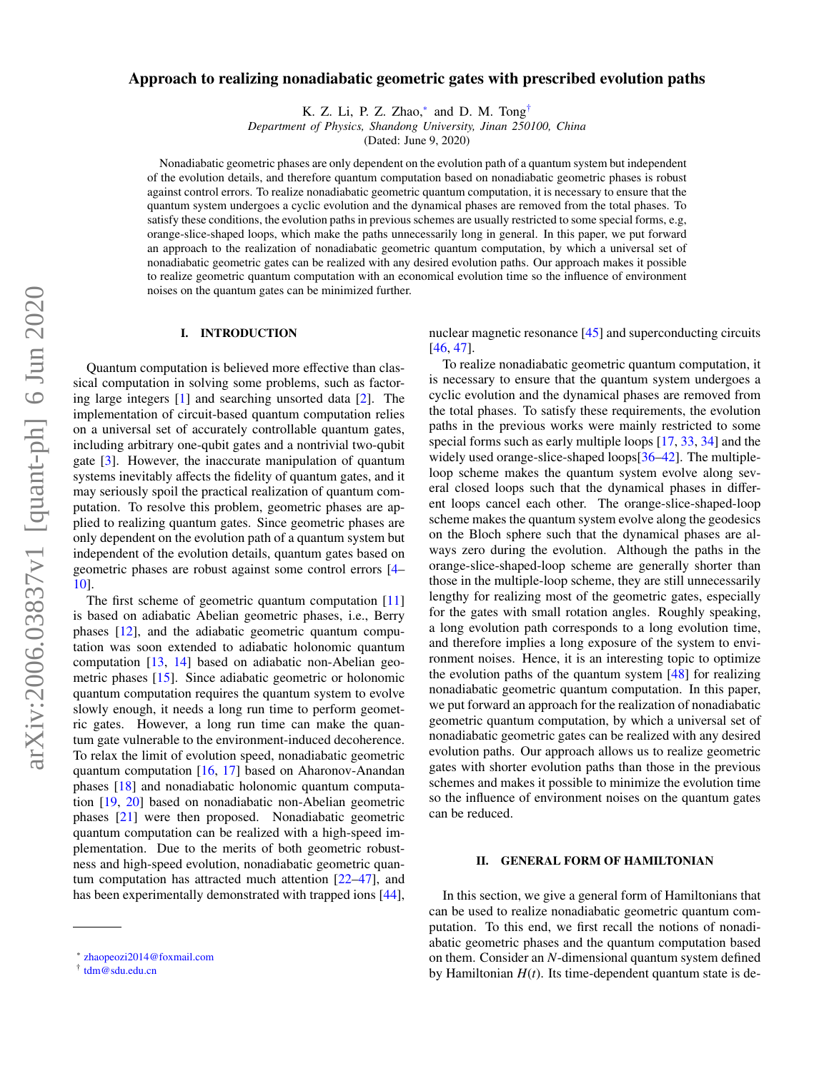# Approach to realizing nonadiabatic geometric gates with prescribed evolution paths

K. Z. Li, P. Z. Zhao,<sup>[∗](#page-0-0)</sup> and D. M. Tong<sup>[†](#page-0-1)</sup>

*Department of Physics, Shandong University, Jinan 250100, China*

(Dated: June 9, 2020)

Nonadiabatic geometric phases are only dependent on the evolution path of a quantum system but independent of the evolution details, and therefore quantum computation based on nonadiabatic geometric phases is robust against control errors. To realize nonadiabatic geometric quantum computation, it is necessary to ensure that the quantum system undergoes a cyclic evolution and the dynamical phases are removed from the total phases. To satisfy these conditions, the evolution paths in previous schemes are usually restricted to some special forms, e.g, orange-slice-shaped loops, which make the paths unnecessarily long in general. In this paper, we put forward an approach to the realization of nonadiabatic geometric quantum computation, by which a universal set of nonadiabatic geometric gates can be realized with any desired evolution paths. Our approach makes it possible to realize geometric quantum computation with an economical evolution time so the influence of environment noises on the quantum gates can be minimized further.

### I. INTRODUCTION

Quantum computation is believed more effective than classical computation in solving some problems, such as factoring large integers [\[1\]](#page-4-0) and searching unsorted data [\[2\]](#page-4-1). The implementation of circuit-based quantum computation relies on a universal set of accurately controllable quantum gates, including arbitrary one-qubit gates and a nontrivial two-qubit gate [\[3\]](#page-4-2). However, the inaccurate manipulation of quantum systems inevitably affects the fidelity of quantum gates, and it may seriously spoil the practical realization of quantum computation. To resolve this problem, geometric phases are applied to realizing quantum gates. Since geometric phases are only dependent on the evolution path of a quantum system but independent of the evolution details, quantum gates based on geometric phases are robust against some control errors [\[4–](#page-4-3) [10\]](#page-4-4).

The first scheme of geometric quantum computation [\[11\]](#page-4-5) is based on adiabatic Abelian geometric phases, i.e., Berry phases [\[12\]](#page-4-6), and the adiabatic geometric quantum computation was soon extended to adiabatic holonomic quantum computation [\[13,](#page-4-7) [14\]](#page-4-8) based on adiabatic non-Abelian geometric phases [\[15\]](#page-4-9). Since adiabatic geometric or holonomic quantum computation requires the quantum system to evolve slowly enough, it needs a long run time to perform geometric gates. However, a long run time can make the quantum gate vulnerable to the environment-induced decoherence. To relax the limit of evolution speed, nonadiabatic geometric quantum computation [\[16,](#page-4-10) [17\]](#page-4-11) based on Aharonov-Anandan phases [\[18\]](#page-4-12) and nonadiabatic holonomic quantum computation [\[19,](#page-4-13) [20\]](#page-4-14) based on nonadiabatic non-Abelian geometric phases [\[21\]](#page-4-15) were then proposed. Nonadiabatic geometric quantum computation can be realized with a high-speed implementation. Due to the merits of both geometric robustness and high-speed evolution, nonadiabatic geometric quantum computation has attracted much attention [\[22–](#page-4-16)[47\]](#page-5-0), and has been experimentally demonstrated with trapped ions [\[44\]](#page-4-17), nuclear magnetic resonance [\[45\]](#page-5-1) and superconducting circuits [\[46,](#page-5-2) [47\]](#page-5-0).

To realize nonadiabatic geometric quantum computation, it is necessary to ensure that the quantum system undergoes a cyclic evolution and the dynamical phases are removed from the total phases. To satisfy these requirements, the evolution paths in the previous works were mainly restricted to some special forms such as early multiple loops [\[17,](#page-4-11) [33,](#page-4-18) [34\]](#page-4-19) and the widely used orange-slice-shaped loops[\[36–](#page-4-20)[42\]](#page-4-21). The multipleloop scheme makes the quantum system evolve along several closed loops such that the dynamical phases in different loops cancel each other. The orange-slice-shaped-loop scheme makes the quantum system evolve along the geodesics on the Bloch sphere such that the dynamical phases are always zero during the evolution. Although the paths in the orange-slice-shaped-loop scheme are generally shorter than those in the multiple-loop scheme, they are still unnecessarily lengthy for realizing most of the geometric gates, especially for the gates with small rotation angles. Roughly speaking, a long evolution path corresponds to a long evolution time, and therefore implies a long exposure of the system to environment noises. Hence, it is an interesting topic to optimize the evolution paths of the quantum system [\[48\]](#page-5-3) for realizing nonadiabatic geometric quantum computation. In this paper, we put forward an approach for the realization of nonadiabatic geometric quantum computation, by which a universal set of nonadiabatic geometric gates can be realized with any desired evolution paths. Our approach allows us to realize geometric gates with shorter evolution paths than those in the previous schemes and makes it possible to minimize the evolution time so the influence of environment noises on the quantum gates can be reduced.

### II. GENERAL FORM OF HAMILTONIAN

In this section, we give a general form of Hamiltonians that can be used to realize nonadiabatic geometric quantum computation. To this end, we first recall the notions of nonadiabatic geometric phases and the quantum computation based on them. Consider an *N*-dimensional quantum system defined by Hamiltonian  $H(t)$ . Its time-dependent quantum state is de-

<span id="page-0-0"></span><sup>∗</sup> [zhaopeozi2014@foxmail.com](mailto:zhaopeozi2014@foxmail.com)

<span id="page-0-1"></span><sup>†</sup> [tdm@sdu.edu.cn](mailto:tdm@sdu.edu.cn)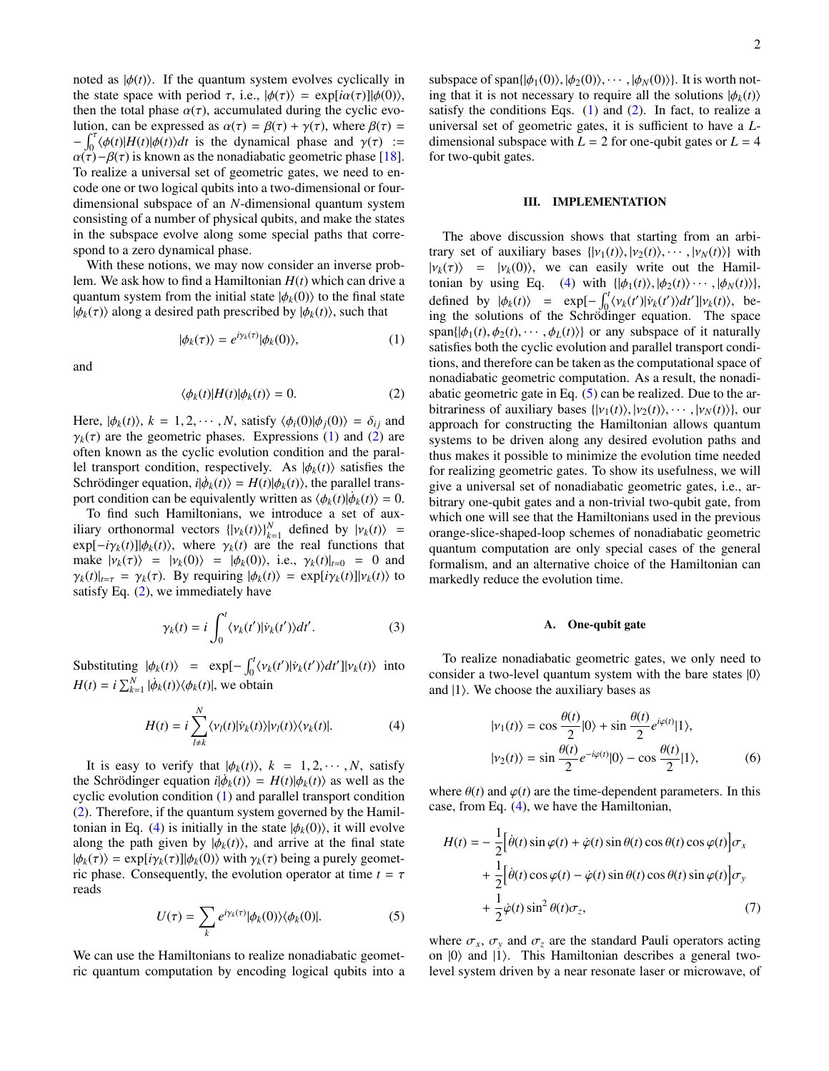noted as  $|\phi(t)\rangle$ . If the quantum system evolves cyclically in the state space with period  $\tau$ , i.e.,  $|\phi(\tau)\rangle = \exp[i\alpha(\tau)]|\phi(0)\rangle$ , then the total phase  $\alpha(\tau)$ , accumulated during the cyclic evolution, can be expressed as  $\alpha(\tau) = \beta(\tau) + \gamma(\tau)$ , where  $\beta(\tau) =$  $-\int_0^{\tau} (\phi(t)|H(t)|\phi(t))dt$  is the dynamical phase and  $\gamma(\tau) := \alpha(\tau) - \beta(\tau)$  is known as the nonadiabatic geometric phase [18]  $\alpha(\tau) - \beta(\tau)$  is known as the nonadiabatic geometric phase [\[18\]](#page-4-12). To realize a universal set of geometric gates, we need to encode one or two logical qubits into a two-dimensional or fourdimensional subspace of an *N*-dimensional quantum system consisting of a number of physical qubits, and make the states in the subspace evolve along some special paths that correspond to a zero dynamical phase.

With these notions, we may now consider an inverse problem. We ask how to find a Hamiltonian *H*(*t*) which can drive a quantum system from the initial state  $|\phi_k(0)\rangle$  to the final state  $|\phi_k(\tau)\rangle$  along a desired path prescribed by  $|\phi_k(t)\rangle$ , such that

$$
|\phi_k(\tau)\rangle = e^{i\gamma_k(\tau)}|\phi_k(0)\rangle,\tag{1}
$$

and

$$
\langle \phi_k(t) | H(t) | \phi_k(t) \rangle = 0. \tag{2}
$$

Here,  $|\phi_k(t)\rangle$ ,  $k = 1, 2, \dots, N$ , satisfy  $\langle \phi_i(0)|\phi_j(0)\rangle = \delta_{ij}$  and  $\gamma_k(\tau)$  are the geometric phases. Expressions [\(1\)](#page-1-0) and [\(2\)](#page-1-1) are often known as the cyclic evolution condition and the parallel transport condition, respectively. As  $|\phi_k(t)\rangle$  satisfies the Schrödinger equation,  $i|\phi_k(t)\rangle = H(t)|\phi_k(t)\rangle$ , the parallel trans-<br>port condition can be equivalently written as  $\langle \phi_k(t) | \dot{\phi}_k(t) \rangle = 0$ port condition can be equivalently written as  $\langle \phi_k(t) | \dot{\phi}_k(t) \rangle = 0$ .<br>To find such Hamiltonians, we introduce a set of aux-

To find such Hamiltonians, we introduce a set of auxiliary orthonormal vectors  $\{|v_k(t)\rangle_{k=1}^N$  defined by  $|v_k(t)\rangle$  = expl $-i\gamma_k(t)\|d_k(t)\rangle$  where  $\gamma_k(t)$  are the real functions that  $\exp[-i\gamma_k(t)]|\phi_k(t)\rangle$ , where  $\gamma_k(t)$  are the real functions that make  $|\nu_k(\tau)\rangle = |\nu_k(0)\rangle = |\phi_k(0)\rangle$ , i.e.,  $\gamma_k(t)|_{t=0} = 0$  and  $\gamma_k(t)|_{t=\tau} = \gamma_k(\tau)$ . By requiring  $|\phi_k(t)\rangle = \exp[i\gamma_k(t)]|\nu_k(t)\rangle$  to satisfy Eq.  $(2)$ , we immediately have

$$
\gamma_k(t) = i \int_0^t \langle v_k(t') | \dot{v}_k(t') \rangle dt'.
$$
 (3)

Substituting  $|\phi_k(t)\rangle = \exp[-\int_0^t \langle v_k(t')| \dot{v}_k(t') \rangle dt'] |v_k(t)\rangle$  into  $H(t) = i \sum_{k=1}^{N} |\dot{\phi}_k(t)\rangle \langle \phi_k(t)|$ , we obtain

$$
H(t) = i \sum_{l \neq k}^{N} \langle v_l(t) | \dot{v}_k(t) \rangle |v_l(t) \rangle \langle v_k(t) |.
$$
 (4)

It is easy to verify that  $|\phi_k(t)\rangle$ ,  $k = 1, 2, \dots, N$ , satisfy the Schrödinger equation  $i|\phi_k(t)\rangle = H(t)|\phi_k(t)\rangle$  as well as the evolution condition (1) and parallel transport condition cyclic evolution condition [\(1\)](#page-1-0) and parallel transport condition [\(2\)](#page-1-1). Therefore, if the quantum system governed by the Hamil-tonian in Eq. [\(4\)](#page-1-2) is initially in the state  $|\phi_k(0)\rangle$ , it will evolve along the path given by  $|\phi_k(t)\rangle$ , and arrive at the final state  $|\phi_k(\tau)\rangle = \exp[i\gamma_k(\tau)]|\phi_k(0)\rangle$  with  $\gamma_k(\tau)$  being a purely geometric phase. Consequently, the evolution operator at time  $t = \tau$ reads

$$
U(\tau) = \sum_{k} e^{i\gamma_k(\tau)} |\phi_k(0)\rangle \langle \phi_k(0)|. \tag{5}
$$

We can use the Hamiltonians to realize nonadiabatic geometric quantum computation by encoding logical qubits into a

subspace of span $\{|\phi_1(0)\rangle, |\phi_2(0)\rangle, \cdots, |\phi_N(0)\rangle\}$ . It is worth noting that it is not necessary to require all the solutions  $|\phi_k(t)\rangle$ satisfy the conditions Eqs.  $(1)$  and  $(2)$ . In fact, to realize a universal set of geometric gates, it is sufficient to have a *L*dimensional subspace with  $L = 2$  for one-qubit gates or  $L = 4$ for two-qubit gates.

## III. IMPLEMENTATION

<span id="page-1-1"></span><span id="page-1-0"></span>The above discussion shows that starting from an arbitrary set of auxiliary bases  $\{ |v_1(t)\rangle, |v_2(t)\rangle, \cdots, |v_N(t)\rangle \}$  with  $|\nu_k(\tau)\rangle$  =  $|\nu_k(0)\rangle$ , we can easily write out the Hamil-tonian by using Eq. [\(4\)](#page-1-2) with  $\{|\phi_1(t)\rangle, |\phi_2(t)\rangle \cdots, |\phi_N(t)\rangle\}$ , defined by  $|\phi_k(t)\rangle$  =  $\exp[-\int_0^t \langle v_k(t')|v_k(t')\rangle dt']|v_k(t)\rangle$ , be-<br>ing the solutions of the Schrödinger equation. The space ing the solutions of the Schrödinger equation. The space span $\{|\phi_1(t), \phi_2(t), \cdots, \phi_L(t)\rangle\}$  or any subspace of it naturally satisfies both the cyclic evolution and parallel transport conditions, and therefore can be taken as the computational space of nonadiabatic geometric computation. As a result, the nonadiabatic geometric gate in Eq. [\(5\)](#page-1-3) can be realized. Due to the arbitrariness of auxiliary bases  $\{ |v_1(t)\rangle, |v_2(t)\rangle, \cdots, |v_N(t)\rangle\}$ , our approach for constructing the Hamiltonian allows quantum systems to be driven along any desired evolution paths and thus makes it possible to minimize the evolution time needed for realizing geometric gates. To show its usefulness, we will give a universal set of nonadiabatic geometric gates, i.e., arbitrary one-qubit gates and a non-trivial two-qubit gate, from which one will see that the Hamiltonians used in the previous orange-slice-shaped-loop schemes of nonadiabatic geometric quantum computation are only special cases of the general formalism, and an alternative choice of the Hamiltonian can markedly reduce the evolution time.

# <span id="page-1-4"></span>A. One-qubit gate

<span id="page-1-2"></span>To realize nonadiabatic geometric gates, we only need to consider a two-level quantum system with the bare states  $|0\rangle$ and  $|1\rangle$ . We choose the auxiliary bases as

$$
|\nu_1(t)\rangle = \cos\frac{\theta(t)}{2}|0\rangle + \sin\frac{\theta(t)}{2}e^{i\varphi(t)}|1\rangle,
$$
  

$$
|\nu_2(t)\rangle = \sin\frac{\theta(t)}{2}e^{-i\varphi(t)}|0\rangle - \cos\frac{\theta(t)}{2}|1\rangle,
$$
 (6)

where  $\theta(t)$  and  $\varphi(t)$  are the time-dependent parameters. In this case, from Eq. [\(4\)](#page-1-2), we have the Hamiltonian,

<span id="page-1-5"></span>
$$
H(t) = -\frac{1}{2} \Big[ \dot{\theta}(t) \sin \varphi(t) + \dot{\varphi}(t) \sin \theta(t) \cos \theta(t) \cos \varphi(t) \Big] \sigma_x
$$
  
+ 
$$
\frac{1}{2} \Big[ \dot{\theta}(t) \cos \varphi(t) - \dot{\varphi}(t) \sin \theta(t) \cos \theta(t) \sin \varphi(t) \Big] \sigma_y
$$
  
+ 
$$
\frac{1}{2} \dot{\varphi}(t) \sin^2 \theta(t) \sigma_z,
$$
(7)

<span id="page-1-3"></span>where  $\sigma_x$ ,  $\sigma_y$  and  $\sigma_z$  are the standard Pauli operators acting on  $|0\rangle$  and  $|1\rangle$ . This Hamiltonian describes a general twolevel system driven by a near resonate laser or microwave, of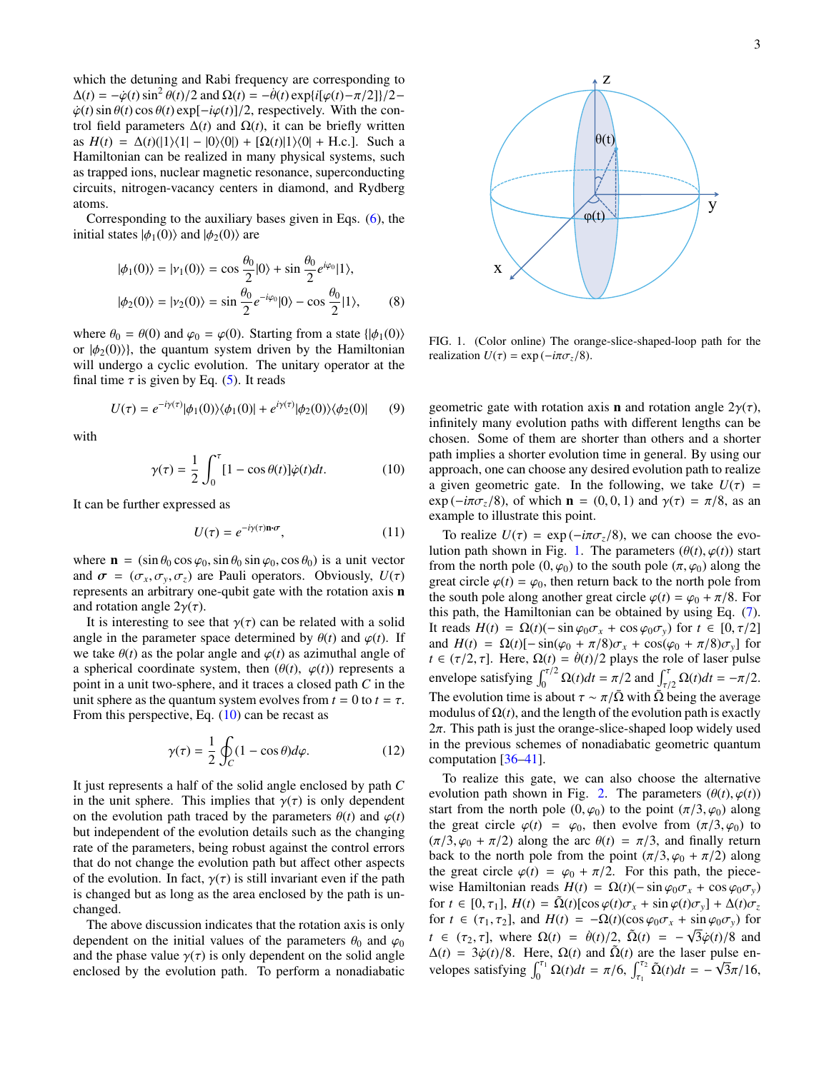which the detuning and Rabi frequency are corresponding to  $\Delta(t) = -\dot{\varphi}(t) \sin^2 \theta(t)/2$  and  $\Omega(t) = -\dot{\theta}(t) \exp\{i[\varphi(t) - \pi/2]\}/2 - \dot{\varphi}(t) \sin \theta(t) \cos \theta(t) \exp\{-i\varphi(t)\}/2$  respectively. With the con- $\dot{\varphi}(t)$  sin  $\theta(t)$  cos  $\theta(t)$  exp[ $-i\varphi(t)$ ]/2, respectively. With the control field parameters  $\Delta(t)$  and  $\Omega(t)$ , it can be briefly written as  $H(t) = \Delta(t)(|1\rangle\langle 1| - |0\rangle\langle 0|) + [\Omega(t)|1\rangle\langle 0| + \text{H.c.}]$ . Such a Hamiltonian can be realized in many physical systems, such as trapped ions, nuclear magnetic resonance, superconducting circuits, nitrogen-vacancy centers in diamond, and Rydberg atoms.

Corresponding to the auxiliary bases given in Eqs. [\(6\)](#page-1-4), the initial states  $|\phi_1(0)\rangle$  and  $|\phi_2(0)\rangle$  are

$$
|\phi_1(0)\rangle = |\nu_1(0)\rangle = \cos\frac{\theta_0}{2}|0\rangle + \sin\frac{\theta_0}{2}e^{i\varphi_0}|1\rangle,
$$
  

$$
|\phi_2(0)\rangle = |\nu_2(0)\rangle = \sin\frac{\theta_0}{2}e^{-i\varphi_0}|0\rangle - \cos\frac{\theta_0}{2}|1\rangle,
$$
 (8)

where  $\theta_0 = \theta(0)$  and  $\varphi_0 = \varphi(0)$ . Starting from a state  $\{\ket{\phi_1(0)}\}$ or  $|\phi_2(0)\rangle$ , the quantum system driven by the Hamiltonian will undergo a cyclic evolution. The unitary operator at the final time  $\tau$  is given by Eq. [\(5\)](#page-1-3). It reads

$$
U(\tau) = e^{-i\gamma(\tau)}|\phi_1(0)\rangle\langle\phi_1(0)| + e^{i\gamma(\tau)}|\phi_2(0)\rangle\langle\phi_2(0)| \qquad (9)
$$

with

$$
\gamma(\tau) = \frac{1}{2} \int_0^{\tau} [1 - \cos \theta(t)] \dot{\varphi}(t) dt.
$$
 (10)

It can be further expressed as

$$
U(\tau) = e^{-i\gamma(\tau)\mathbf{n}\cdot\boldsymbol{\sigma}},\tag{11}
$$

where  $\mathbf{n} = (\sin \theta_0 \cos \varphi_0, \sin \theta_0 \sin \varphi_0, \cos \theta_0)$  is a unit vector and  $\sigma = (\sigma_x, \sigma_y, \sigma_z)$  are Pauli operators. Obviously,  $U(\tau)$ represents an arbitrary one-qubit gate with the rotation axis n and rotation angle  $2\gamma(\tau)$ .

It is interesting to see that  $\gamma(\tau)$  can be related with a solid angle in the parameter space determined by  $\theta(t)$  and  $\varphi(t)$ . If we take  $\theta(t)$  as the polar angle and  $\varphi(t)$  as azimuthal angle of a spherical coordinate system, then  $(\theta(t), \varphi(t))$  represents a point in a unit two-sphere, and it traces a closed path *C* in the unit sphere as the quantum system evolves from  $t = 0$  to  $t = \tau$ . From this perspective, Eq.  $(10)$  can be recast as

$$
\gamma(\tau) = \frac{1}{2} \oint_C (1 - \cos \theta) d\varphi.
$$
 (12)

It just represents a half of the solid angle enclosed by path *C* in the unit sphere. This implies that  $\gamma(\tau)$  is only dependent on the evolution path traced by the parameters  $\theta(t)$  and  $\varphi(t)$ but independent of the evolution details such as the changing rate of the parameters, being robust against the control errors that do not change the evolution path but affect other aspects of the evolution. In fact,  $\gamma(\tau)$  is still invariant even if the path is changed but as long as the area enclosed by the path is unchanged.

The above discussion indicates that the rotation axis is only dependent on the initial values of the parameters  $\theta_0$  and  $\varphi_0$ and the phase value  $\gamma(\tau)$  is only dependent on the solid angle enclosed by the evolution path. To perform a nonadiabatic



<span id="page-2-1"></span>FIG. 1. (Color online) The orange-slice-shaped-loop path for the realization  $U(\tau) = \exp(-i\pi \sigma_z/8)$ .

<span id="page-2-0"></span>geometric gate with rotation axis **n** and rotation angle  $2\gamma(\tau)$ , infinitely many evolution paths with different lengths can be chosen. Some of them are shorter than others and a shorter path implies a shorter evolution time in general. By using our approach, one can choose any desired evolution path to realize a given geometric gate. In the following, we take  $U(\tau)$  =  $\exp(-i\pi\sigma_z/8)$ , of which  $\mathbf{n} = (0, 0, 1)$  and  $\gamma(\tau) = \pi/8$ , as an example to illustrate this point.

To realize  $U(\tau) = \exp(-i\pi \sigma_z/8)$ , we can choose the evo-lution path shown in Fig. [1.](#page-2-1) The parameters  $(\theta(t), \varphi(t))$  start from the north pole  $(0, \varphi_0)$  to the south pole  $(\pi, \varphi_0)$  along the great circle  $\varphi(t) = \varphi_0$ , then return back to the north pole from the south pole along another great circle  $\varphi(t) = \varphi_0 + \pi/8$ . For this path, the Hamiltonian can be obtained by using Eq. [\(7\)](#page-1-5). It reads  $H(t) = \Omega(t)$ (− sin  $\varphi_0 \sigma_x + \cos \varphi_0 \sigma_y$ ) for  $t \in [0, \tau/2]$ and  $H(t) = \Omega(t) [-\sin(\varphi_0 + \pi/8)\sigma_x + \cos(\varphi_0 + \pi/8)\sigma_y]$  for *t* ∈ ( $\tau/2$ ,  $\tau$ ]. Here,  $\Omega(t) = \theta(t)/2$  plays the role of laser pulse envelope satisfying  $\int_0^{\tau/2} \Omega(t) dt = \pi/2$  and  $\int_{\tau/2}^{\tau} \Omega(t) dt = -\pi/2$ .<br>The avalation time is about  $\tau = \pi/\overline{Q}$  with  $\overline{Q}$  being the avarage The evolution time is about  $\tau \sim \pi/\overline{\Omega}$  with  $\overline{\Omega}$  being the average modulus of  $\Omega(t)$ , and the length of the evolution path is exactly  $2\pi$ . This path is just the orange-slice-shaped loop widely used in the previous schemes of nonadiabatic geometric quantum computation [\[36–](#page-4-20)[41\]](#page-4-22).

To realize this gate, we can also choose the alternative evolution path shown in Fig. [2.](#page-3-0) The parameters  $(\theta(t), \varphi(t))$ start from the north pole  $(0, \varphi_0)$  to the point  $(\pi/3, \varphi_0)$  along the great circle  $\varphi(t) = \varphi_0$ , then evolve from  $(\pi/3, \varphi_0)$  to  $(\pi/3, \varphi_0 + \pi/2)$  along the arc  $\theta(t) = \pi/3$ , and finally return back to the north pole from the point  $(\pi/3, \varphi_0 + \pi/2)$  along the great circle  $\varphi(t) = \varphi_0 + \pi/2$ . For this path, the piecewise Hamiltonian reads  $H(t) = \Omega(t) (-\sin \varphi_0 \sigma_x + \cos \varphi_0 \sigma_y)$ for  $t \in [0, \tau_1]$ ,  $H(t) = \tilde{\Omega}(t)[\cos \varphi(t)\sigma_x + \sin \varphi(t)\sigma_y] + \Delta(t)\sigma_z$ for  $t \in (\tau_1, \tau_2]$ , and  $H(t) = -\Omega(t)(\cos \varphi_0 \sigma_x + \sin \varphi_0 \sigma_y)$  for *t* ∈ ( $\tau_2$ ,  $\tau$ ], where  $\Omega(t) = \dot{\theta}(t)/2$ ,  $\tilde{\Omega}(t) = -\sqrt{3}\dot{\varphi}(t)/8$  and  $\tilde{\Omega}(t)$  are the laser pulse en- $\Delta(t) = 3\dot{\varphi}(t)/8$ . Here,  $\Omega(t)$  and  $\tilde{\Omega}(t)$  are the laser pulse envelopes satisfying  $\int_0^{\tau_1} \Omega(t)dt = \pi/6$ ,  $\int_{\tau_1}^{\tau_2} \tilde{\Omega}(t)dt = -\sqrt{3}\pi/16$ ,  $\tilde{\Omega}(t)dt = -\sqrt{2\pi}$  $3\pi/16$ ,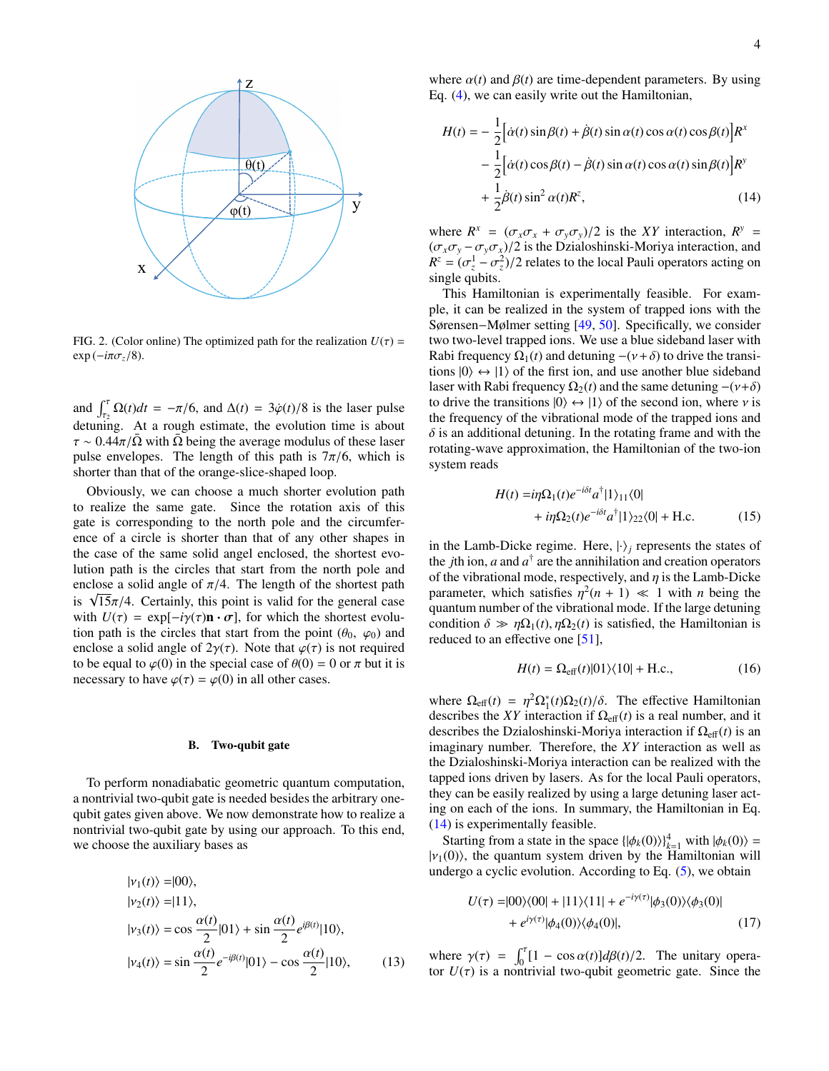

<span id="page-3-0"></span>FIG. 2. (Color online) The optimized path for the realization  $U(\tau)$  =  $\exp(-i\pi\sigma_z/8)$ .

and  $\int_{\tau_2}^{\tau} \Omega(t) dt = -\pi/6$ , and  $\Delta(t) = 3\dot{\varphi}(t)/8$  is the laser pulse detuning. At a rough estimate, the evolution time is about  $\tau \sim 0.44\pi/\bar{\Omega}$  with  $\bar{\Omega}$  being the average modulus of these laser pulse envelopes. The length of this path is  $7\pi/6$ , which is shorter than that of the orange-slice-shaped loop.

Obviously, we can choose a much shorter evolution path to realize the same gate. Since the rotation axis of this gate is corresponding to the north pole and the circumference of a circle is shorter than that of any other shapes in the case of the same solid angel enclosed, the shortest evolution path is the circles that start from the north pole and enclose a solid angle of  $\pi/4$ . The length of the shortest path enciose a sond angle of  $\pi/4$ . The length of the shortest path<br>is  $\sqrt{15}\pi/4$ . Certainly, this point is valid for the general case<br>with  $U(\tau) = \exp[-i\nu(\tau)\mathbf{n} \cdot \sigma]$  for which the shortest evoluwith  $U(\tau) = \exp[-i\gamma(\tau)\mathbf{n} \cdot \sigma]$ , for which the shortest evolution path is the circles that start from the point  $(\theta_0, \varphi_0)$  and enclose a solid angle of  $2\gamma(\tau)$ . Note that  $\varphi(\tau)$  is not required to be equal to  $\varphi(0)$  in the special case of  $\theta(0) = 0$  or  $\pi$  but it is necessary to have  $\varphi(\tau) = \varphi(0)$  in all other cases.

#### B. Two-qubit gate

To perform nonadiabatic geometric quantum computation, a nontrivial two-qubit gate is needed besides the arbitrary onequbit gates given above. We now demonstrate how to realize a nontrivial two-qubit gate by using our approach. To this end, we choose the auxiliary bases as

$$
|\nu_1(t)\rangle = |00\rangle,
$$
  
\n
$$
|\nu_2(t)\rangle = |11\rangle,
$$
  
\n
$$
|\nu_3(t)\rangle = \cos\frac{\alpha(t)}{2}|01\rangle + \sin\frac{\alpha(t)}{2}e^{i\beta(t)}|10\rangle,
$$
  
\n
$$
|\nu_4(t)\rangle = \sin\frac{\alpha(t)}{2}e^{-i\beta(t)}|01\rangle - \cos\frac{\alpha(t)}{2}|10\rangle,
$$
 (13)

 $Z$  where  $\alpha(t)$  and  $\beta(t)$  are time-dependent parameters. By using  $F_{\alpha}$  (*A*) we can easily write out the Hamiltonian Eq. [\(4\)](#page-1-2), we can easily write out the Hamiltonian,

$$
H(t) = -\frac{1}{2} \Big[ \dot{\alpha}(t) \sin \beta(t) + \dot{\beta}(t) \sin \alpha(t) \cos \alpha(t) \cos \beta(t) \Big] R^x
$$
  

$$
-\frac{1}{2} \Big[ \dot{\alpha}(t) \cos \beta(t) - \dot{\beta}(t) \sin \alpha(t) \cos \alpha(t) \sin \beta(t) \Big] R^y
$$
  

$$
+\frac{1}{2} \dot{\beta}(t) \sin^2 \alpha(t) R^z,
$$
 (14)

 $R^z = (σ_z^1 - σ_z^2)/2$  relates to the local Pauli operators acting on<br>single qubits where  $R^x = (\sigma_x \sigma_x + \sigma_y \sigma_y)/2$  is the *XY* interaction,  $R^y = (a \sigma_x - a \sigma_y)/2$  is the Dzialoshinski-Moriva interaction and  $(\sigma_x \sigma_y - \sigma_y \sigma_x)/2$  is the Dzialoshinski-Moriya interaction, and single qubits.

> <span id="page-3-1"></span>This Hamiltonian is experimentally feasible. For example, it can be realized in the system of trapped ions with the Sørensen−Mølmer setting [\[49,](#page-5-4) [50\]](#page-5-5). Specifically, we consider two two-level trapped ions. We use a blue sideband laser with Rabi frequency  $\Omega_1(t)$  and detuning  $-(\nu+\delta)$  to drive the transitions  $|0\rangle \leftrightarrow |1\rangle$  of the first ion, and use another blue sideband laser with Rabi frequency  $\Omega_2(t)$  and the same detuning  $-(\nu+\delta)$ to drive the transitions  $|0\rangle \leftrightarrow |1\rangle$  of the second ion, where *v* is the frequency of the vibrational mode of the trapped ions and  $\delta$  is an additional detuning. In the rotating frame and with the rotating-wave approximation, the Hamiltonian of the two-ion system reads

<span id="page-3-2"></span>
$$
H(t) = i\eta \Omega_1(t)e^{-i\delta t}a^{\dagger}|1\rangle_{11}\langle 0|
$$
  
+  $i\eta \Omega_2(t)e^{-i\delta t}a^{\dagger}|1\rangle_{22}\langle 0|$  + H.c. (15)

in the Lamb-Dicke regime. Here,  $|\cdot\rangle_i$  represents the states of the *j*th ion, *a* and  $a^{\dagger}$  are the annihilation and creation operators of the vibrational mode, respectively, and  $\eta$  is the Lamb-Dicke parameter, which satisfies  $\eta^2(n+1) \ll 1$  with *n* being the quantum number of the vibrational mode. If the large detuning quantum number of the vibrational mode. If the large detuning condition  $\delta \gg \eta \Omega_1(t), \eta \Omega_2(t)$  is satisfied, the Hamiltonian is reduced to an effective one [\[51\]](#page-5-6),

<span id="page-3-3"></span>
$$
H(t) = \Omega_{\text{eff}}(t)|01\rangle\langle10| + \text{H.c.},\tag{16}
$$

where  $\Omega_{\text{eff}}(t) = \eta^2 \Omega_1^*(t) \Omega_2(t)/\delta$ . The effective Hamiltonian describes the XY interaction if  $Q_{\text{eff}}(t)$  is a real number and it describes the *XY* interaction if  $\Omega_{\text{eff}}(t)$  is a real number, and it describes the Dzialoshinski-Moriya interaction if  $\Omega_{\text{eff}}(t)$  is an imaginary number. Therefore, the *XY* interaction as well as the Dzialoshinski-Moriya interaction can be realized with the tapped ions driven by lasers. As for the local Pauli operators, they can be easily realized by using a large detuning laser acting on each of the ions. In summary, the Hamiltonian in Eq. [\(14\)](#page-3-1) is experimentally feasible.

Starting from a state in the space  $\{|\phi_k(0)\rangle\}_{k=1}^4$  with  $|\phi_k(0)\rangle =$ <br>(0)) the quantum system driven by the Hamiltonian will  $|v_1(0)\rangle$ , the quantum system driven by the Hamiltonian will undergo a cyclic evolution. According to Eq.  $(5)$ , we obtain

$$
U(\tau) = |00\rangle\langle00| + |11\rangle\langle11| + e^{-i\gamma(\tau)}|\phi_3(0)\rangle\langle\phi_3(0)| + e^{i\gamma(\tau)}|\phi_4(0)\rangle\langle\phi_4(0)|, \tag{17}
$$

where  $\gamma(\tau) = \int_0^{\tau} [1 - \cos \alpha(t)] d\beta(t)/2$ . The unitary opera-<br>tor  $U(\tau)$  is a nontrivial two-qubit geometric gate. Since the tor  $U(\tau)$  is a nontrivial two-qubit geometric gate. Since the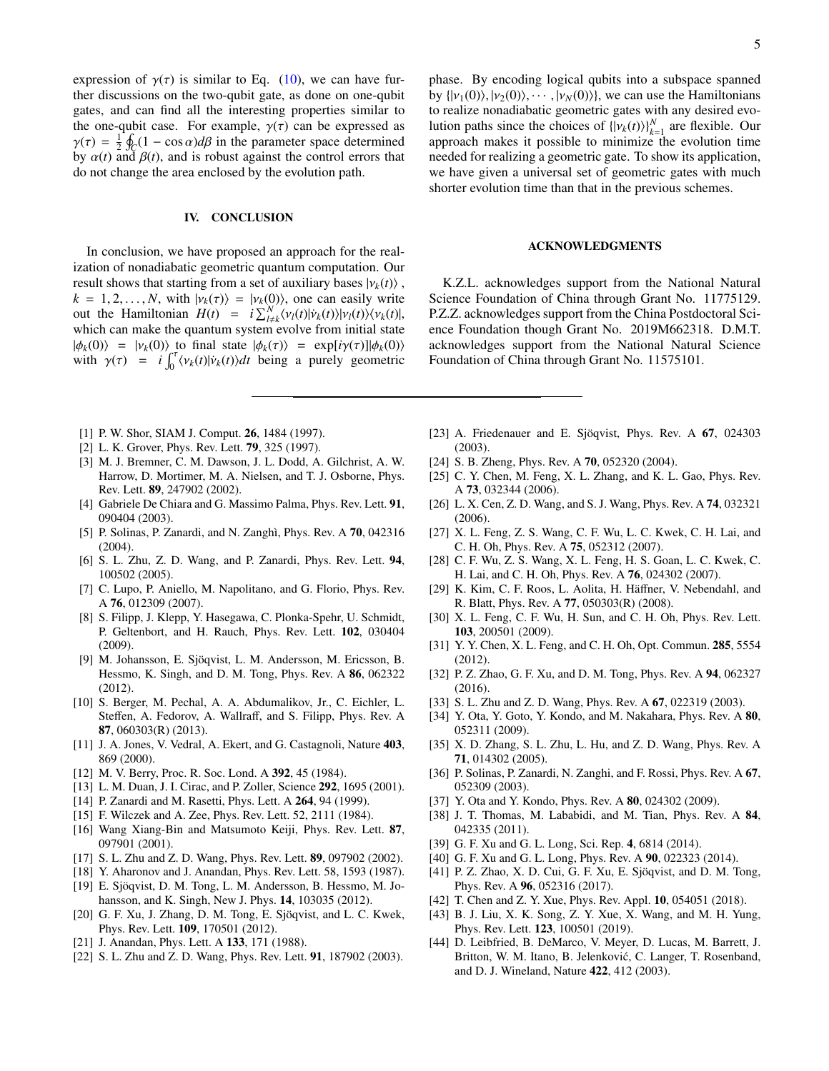expression of  $\gamma(\tau)$  is similar to Eq. [\(10\)](#page-2-0), we can have further discussions on the two-qubit gate, as done on one-qubit gates, and can find all the interesting properties similar to the one-qubit case. For example,  $\gamma(\tau)$  can be expressed as  $\gamma(\tau) = \frac{1}{2} \oint_C (1 - \cos \alpha) d\beta$  in the parameter space determined<br>by  $\alpha(t)$  and  $\beta(t)$  and is robust against the control errors that by  $\alpha(t)$  and  $\beta(t)$ , and is robust against the control errors that do not change the area enclosed by the evolution path.

#### IV. CONCLUSION

In conclusion, we have proposed an approach for the realization of nonadiabatic geometric quantum computation. Our result shows that starting from a set of auxiliary bases  $|\nu_k(t)\rangle$ ,  $k = 1, 2, \dots, N$ , with  $|v_k(\tau)\rangle = |v_k(0)\rangle$ , one can easily write out the Hamiltonian  $H(t) = i \sum_{l \neq k}^{N} \langle v_l(t) | \dot{v}_k(t) \rangle |v_l(t) \rangle \langle v_k(t) |$ , which can make the quantum system evolve from initial state which can make the quantum system evolve from initial state  $|\phi_k(0)\rangle = |\nu_k(0)\rangle$  to final state  $|\phi_k(\tau)\rangle = \exp[i\gamma(\tau)]|\phi_k(0)\rangle$ with  $\gamma(\tau) = i \int_0^{\tau} \langle v_k(t) | \dot{v}_k(t) \rangle dt$  being a purely geometric

- <span id="page-4-0"></span>[1] P. W. Shor, SIAM J. Comput. **26**, 1484 (1997).
- <span id="page-4-1"></span>[2] L. K. Grover, Phys. Rev. Lett. **79**, 325 (1997).
- <span id="page-4-2"></span>[3] M. J. Bremner, C. M. Dawson, J. L. Dodd, A. Gilchrist, A. W. Harrow, D. Mortimer, M. A. Nielsen, and T. J. Osborne, Phys. Rev. Lett. 89, 247902 (2002).
- <span id="page-4-3"></span>[4] Gabriele De Chiara and G. Massimo Palma, Phys. Rev. Lett. 91, 090404 (2003).
- [5] P. Solinas, P. Zanardi, and N. Zanghì, Phys. Rev. A **70**, 042316  $(2004)$ .
- [6] S. L. Zhu, Z. D. Wang, and P. Zanardi, Phys. Rev. Lett. 94, 100502 (2005).
- [7] C. Lupo, P. Aniello, M. Napolitano, and G. Florio, Phys. Rev. A 76, 012309 (2007).
- [8] S. Filipp, J. Klepp, Y. Hasegawa, C. Plonka-Spehr, U. Schmidt, P. Geltenbort, and H. Rauch, Phys. Rev. Lett. 102, 030404 (2009).
- [9] M. Johansson, E. Sjöqvist, L. M. Andersson, M. Ericsson, B. Hessmo, K. Singh, and D. M. Tong, Phys. Rev. A 86, 062322 (2012).
- <span id="page-4-4"></span>[10] S. Berger, M. Pechal, A. A. Abdumalikov, Jr., C. Eichler, L. Steffen, A. Fedorov, A. Wallraff, and S. Filipp, Phys. Rev. A 87, 060303(R) (2013).
- <span id="page-4-5"></span>[11] J. A. Jones, V. Vedral, A. Ekert, and G. Castagnoli, Nature 403, 869 (2000).
- <span id="page-4-6"></span>[12] M. V. Berry, Proc. R. Soc. Lond. A 392, 45 (1984).
- <span id="page-4-7"></span>[13] L. M. Duan, J. I. Cirac, and P. Zoller, Science 292, 1695 (2001).
- <span id="page-4-8"></span>[14] P. Zanardi and M. Rasetti, Phys. Lett. A 264, 94 (1999).
- <span id="page-4-9"></span>[15] F. Wilczek and A. Zee, Phys. Rev. Lett. 52, 2111 (1984).
- <span id="page-4-10"></span>[16] Wang Xiang-Bin and Matsumoto Keiji, Phys. Rev. Lett. 87, 097901 (2001).
- <span id="page-4-11"></span>[17] S. L. Zhu and Z. D. Wang, Phys. Rev. Lett. 89, 097902 (2002).
- <span id="page-4-12"></span>[18] Y. Aharonov and J. Anandan, Phys. Rev. Lett. 58, 1593 (1987).
- <span id="page-4-13"></span>[19] E. Sjöqvist, D. M. Tong, L. M. Andersson, B. Hessmo, M. Johansson, and K. Singh, New J. Phys. 14, 103035 (2012).
- <span id="page-4-14"></span>[20] G. F. Xu, J. Zhang, D. M. Tong, E. Sjöqvist, and L. C. Kwek, Phys. Rev. Lett. 109, 170501 (2012).
- <span id="page-4-15"></span>[21] J. Anandan, Phys. Lett. A 133, 171 (1988).
- <span id="page-4-16"></span>[22] S. L. Zhu and Z. D. Wang, Phys. Rev. Lett. **91**, 187902 (2003).

phase. By encoding logical qubits into a subspace spanned

#### ACKNOWLEDGMENTS

K.Z.L. acknowledges support from the National Natural Science Foundation of China through Grant No. 11775129. P.Z.Z. acknowledges support from the China Postdoctoral Science Foundation though Grant No. 2019M662318. D.M.T. acknowledges support from the National Natural Science Foundation of China through Grant No. 11575101.

- [23] A. Friedenauer and E. Sjöqvist, Phys. Rev. A  $67$ , 024303 (2003).
- [24] S. B. Zheng, Phys. Rev. A 70, 052320 (2004).
- [25] C. Y. Chen, M. Feng, X. L. Zhang, and K. L. Gao, Phys. Rev. A 73, 032344 (2006).
- [26] L. X. Cen, Z. D. Wang, and S. J. Wang, Phys. Rev. A 74, 032321 (2006).
- [27] X. L. Feng, Z. S. Wang, C. F. Wu, L. C. Kwek, C. H. Lai, and C. H. Oh, Phys. Rev. A 75, 052312 (2007).
- [28] C. F. Wu, Z. S. Wang, X. L. Feng, H. S. Goan, L. C. Kwek, C. H. Lai, and C. H. Oh, Phys. Rev. A 76, 024302 (2007).
- [29] K. Kim, C. F. Roos, L. Aolita, H. Häffner, V. Nebendahl, and R. Blatt, Phys. Rev. A 77, 050303(R) (2008).
- [30] X. L. Feng, C. F. Wu, H. Sun, and C. H. Oh, Phys. Rev. Lett. 103, 200501 (2009).
- [31] Y. Y. Chen, X. L. Feng, and C. H. Oh, Opt. Commun. 285, 5554 (2012).
- [32] P. Z. Zhao, G. F. Xu, and D. M. Tong, Phys. Rev. A 94, 062327 (2016).
- <span id="page-4-18"></span>[33] S. L. Zhu and Z. D. Wang, Phys. Rev. A 67, 022319 (2003).
- <span id="page-4-19"></span>[34] Y. Ota, Y. Goto, Y. Kondo, and M. Nakahara, Phys. Rev. A 80, 052311 (2009).
- [35] X. D. Zhang, S. L. Zhu, L. Hu, and Z. D. Wang, Phys. Rev. A 71, 014302 (2005).
- <span id="page-4-20"></span>[36] P. Solinas, P. Zanardi, N. Zanghi, and F. Rossi, Phys. Rev. A 67, 052309 (2003).
- [37] Y. Ota and Y. Kondo, Phys. Rev. A 80, 024302 (2009).
- [38] J. T. Thomas, M. Lababidi, and M. Tian, Phys. Rev. A 84, 042335 (2011).
- [39] G. F. Xu and G. L. Long, Sci. Rep. 4, 6814 (2014).
- [40] G. F. Xu and G. L. Long, Phys. Rev. A 90, 022323 (2014).
- <span id="page-4-22"></span>[41] P. Z. Zhao, X. D. Cui, G. F. Xu, E. Sjöqvist, and D. M. Tong, Phys. Rev. A 96, 052316 (2017).
- <span id="page-4-21"></span>[42] T. Chen and Z. Y. Xue, Phys. Rev. Appl. 10, 054051 (2018).
- [43] B. J. Liu, X. K. Song, Z. Y. Xue, X. Wang, and M. H. Yung, Phys. Rev. Lett. 123, 100501 (2019).
- <span id="page-4-17"></span>[44] D. Leibfried, B. DeMarco, V. Meyer, D. Lucas, M. Barrett, J. Britton, W. M. Itano, B. Jelenković, C. Langer, T. Rosenband, and D. J. Wineland, Nature 422, 412 (2003).